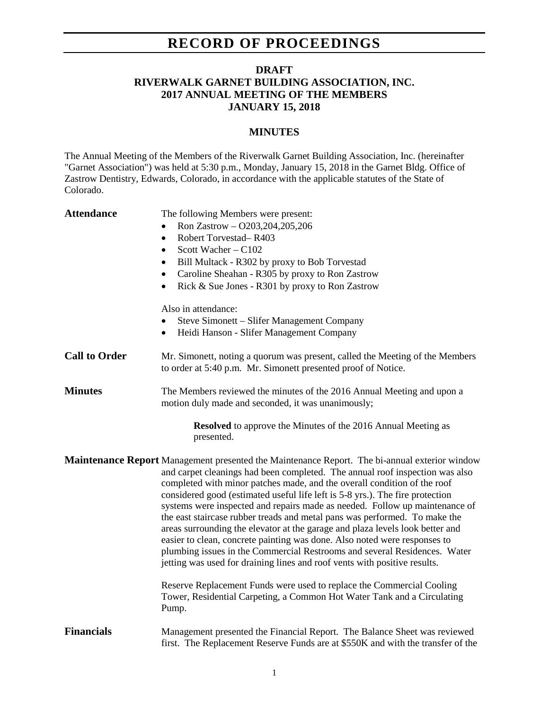## **RECORD OF PROCEEDINGS**

## **DRAFT RIVERWALK GARNET BUILDING ASSOCIATION, INC. 2017 ANNUAL MEETING OF THE MEMBERS JANUARY 15, 2018**

## **MINUTES**

The Annual Meeting of the Members of the Riverwalk Garnet Building Association, Inc. (hereinafter "Garnet Association") was held at 5:30 p.m., Monday, January 15, 2018 in the Garnet Bldg. Office of Zastrow Dentistry, Edwards, Colorado, in accordance with the applicable statutes of the State of Colorado.

| <b>Attendance</b>                                                                  | The following Members were present:<br>Ron Zastrow - O203,204,205,206<br>$\bullet$<br>Robert Torvestad-R403<br>$\bullet$<br>Scott Wacher - C102<br>$\bullet$<br>Bill Multack - R302 by proxy to Bob Torvestad<br>$\bullet$<br>Caroline Sheahan - R305 by proxy to Ron Zastrow<br>$\bullet$<br>Rick & Sue Jones - R301 by proxy to Ron Zastrow<br>$\bullet$<br>Also in attendance:<br>Steve Simonett - Slifer Management Company<br>$\bullet$<br>Heidi Hanson - Slifer Management Company<br>$\bullet$                                                                                                                                                                                                                                                                                                                                  |  |
|------------------------------------------------------------------------------------|----------------------------------------------------------------------------------------------------------------------------------------------------------------------------------------------------------------------------------------------------------------------------------------------------------------------------------------------------------------------------------------------------------------------------------------------------------------------------------------------------------------------------------------------------------------------------------------------------------------------------------------------------------------------------------------------------------------------------------------------------------------------------------------------------------------------------------------|--|
| <b>Call to Order</b>                                                               | Mr. Simonett, noting a quorum was present, called the Meeting of the Members<br>to order at 5:40 p.m. Mr. Simonett presented proof of Notice.                                                                                                                                                                                                                                                                                                                                                                                                                                                                                                                                                                                                                                                                                          |  |
| <b>Minutes</b>                                                                     | The Members reviewed the minutes of the 2016 Annual Meeting and upon a<br>motion duly made and seconded, it was unanimously;                                                                                                                                                                                                                                                                                                                                                                                                                                                                                                                                                                                                                                                                                                           |  |
| <b>Resolved</b> to approve the Minutes of the 2016 Annual Meeting as<br>presented. |                                                                                                                                                                                                                                                                                                                                                                                                                                                                                                                                                                                                                                                                                                                                                                                                                                        |  |
|                                                                                    | <b>Maintenance Report</b> Management presented the Maintenance Report. The bi-annual exterior window<br>and carpet cleanings had been completed. The annual roof inspection was also<br>completed with minor patches made, and the overall condition of the roof<br>considered good (estimated useful life left is 5-8 yrs.). The fire protection<br>systems were inspected and repairs made as needed. Follow up maintenance of<br>the east staircase rubber treads and metal pans was performed. To make the<br>areas surrounding the elevator at the garage and plaza levels look better and<br>easier to clean, concrete painting was done. Also noted were responses to<br>plumbing issues in the Commercial Restrooms and several Residences. Water<br>jetting was used for draining lines and roof vents with positive results. |  |
|                                                                                    | Reserve Replacement Funds were used to replace the Commercial Cooling<br>Tower, Residential Carpeting, a Common Hot Water Tank and a Circulating<br>Pump.                                                                                                                                                                                                                                                                                                                                                                                                                                                                                                                                                                                                                                                                              |  |
| <b>Financials</b>                                                                  | Management presented the Financial Report. The Balance Sheet was reviewed<br>first. The Replacement Reserve Funds are at \$550K and with the transfer of the                                                                                                                                                                                                                                                                                                                                                                                                                                                                                                                                                                                                                                                                           |  |